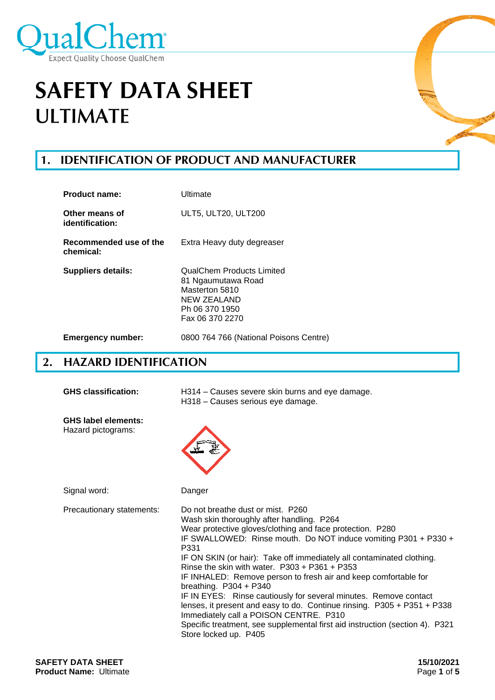

# **1. IDENTIFICATION OF PRODUCT AND MANUFACTURER**

| Product name:                       | Ultimate                                                                                                              |
|-------------------------------------|-----------------------------------------------------------------------------------------------------------------------|
| Other means of<br>identification:   | ULT5, ULT20, ULT200                                                                                                   |
| Recommended use of the<br>chemical: | Extra Heavy duty degreaser                                                                                            |
| <b>Suppliers details:</b>           | QualChem Products Limited<br>81 Ngaumutawa Road<br>Masterton 5810<br>NEW ZEALAND<br>Ph 06 370 1950<br>Fax 06 370 2270 |
| <b>Emergency number:</b>            | 0800 764 766 (National Poisons Centre)                                                                                |

## **2. HAZARD IDENTIFICATION**

| <b>GHS classification:</b>                       | H314 – Causes severe skin burns and eye damage.<br>H318 - Causes serious eye damage.                                                                                                                                                                                                                                                                                                                                                                                                                                                                                                                                                                                                                                                                |  |
|--------------------------------------------------|-----------------------------------------------------------------------------------------------------------------------------------------------------------------------------------------------------------------------------------------------------------------------------------------------------------------------------------------------------------------------------------------------------------------------------------------------------------------------------------------------------------------------------------------------------------------------------------------------------------------------------------------------------------------------------------------------------------------------------------------------------|--|
| <b>GHS label elements:</b><br>Hazard pictograms: |                                                                                                                                                                                                                                                                                                                                                                                                                                                                                                                                                                                                                                                                                                                                                     |  |
| Signal word:                                     | Danger                                                                                                                                                                                                                                                                                                                                                                                                                                                                                                                                                                                                                                                                                                                                              |  |
| Precautionary statements:                        | Do not breathe dust or mist. P260<br>Wash skin thoroughly after handling. P264<br>Wear protective gloves/clothing and face protection. P280<br>IF SWALLOWED: Rinse mouth. Do NOT induce vomiting P301 + P330 +<br>P331<br>IF ON SKIN (or hair): Take off immediately all contaminated clothing.<br>Rinse the skin with water. $P303 + P361 + P353$<br>IF INHALED: Remove person to fresh air and keep comfortable for<br>breathing. $P304 + P340$<br>IF IN EYES: Rinse cautiously for several minutes. Remove contact<br>lenses, it present and easy to do. Continue rinsing. P305 + P351 + P338<br>Immediately call a POISON CENTRE. P310<br>Specific treatment, see supplemental first aid instruction (section 4). P321<br>Store locked up. P405 |  |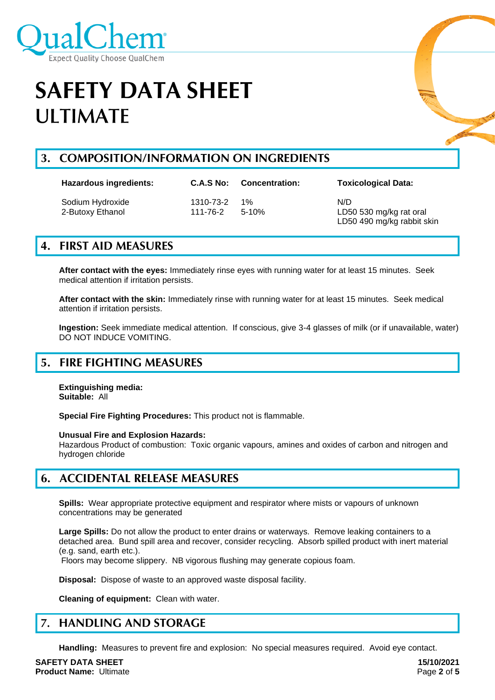

## **3. COMPOSITION/INFORMATION ON INGREDIENTS**

| <b>Hazardous ingredients:</b>        | C.A.S No:             | <b>Concentration:</b> | <b>Toxicological Data:</b>                                   |
|--------------------------------------|-----------------------|-----------------------|--------------------------------------------------------------|
| Sodium Hydroxide<br>2-Butoxy Ethanol | 1310-73-2<br>111-76-2 | $1\%$<br>$5 - 10%$    | N/D<br>LD50 530 mg/kg rat oral<br>LD50 490 mg/kg rabbit skin |

## **4. FIRST AID MEASURES**

**After contact with the eyes:** Immediately rinse eyes with running water for at least 15 minutes. Seek medical attention if irritation persists.

**After contact with the skin:** Immediately rinse with running water for at least 15 minutes. Seek medical attention if irritation persists.

**Ingestion:** Seek immediate medical attention. If conscious, give 3-4 glasses of milk (or if unavailable, water) DO NOT INDUCE VOMITING.

## **5. FIRE FIGHTING MEASURES**

**Extinguishing media: Suitable:** All

**Special Fire Fighting Procedures:** This product not is flammable.

**Unusual Fire and Explosion Hazards:**

Hazardous Product of combustion: Toxic organic vapours, amines and oxides of carbon and nitrogen and hydrogen chloride

### **6. ACCIDENTAL RELEASE MEASURES**

**Spills:** Wear appropriate protective equipment and respirator where mists or vapours of unknown concentrations may be generated

**Large Spills:** Do not allow the product to enter drains or waterways. Remove leaking containers to a detached area. Bund spill area and recover, consider recycling. Absorb spilled product with inert material (e.g. sand, earth etc.).

Floors may become slippery. NB vigorous flushing may generate copious foam.

**Disposal:** Dispose of waste to an approved waste disposal facility.

**Cleaning of equipment:** Clean with water.

#### $\overline{7}$ . **HANDLING AND STORAGE**

**Handling:** Measures to prevent fire and explosion: No special measures required. Avoid eye contact.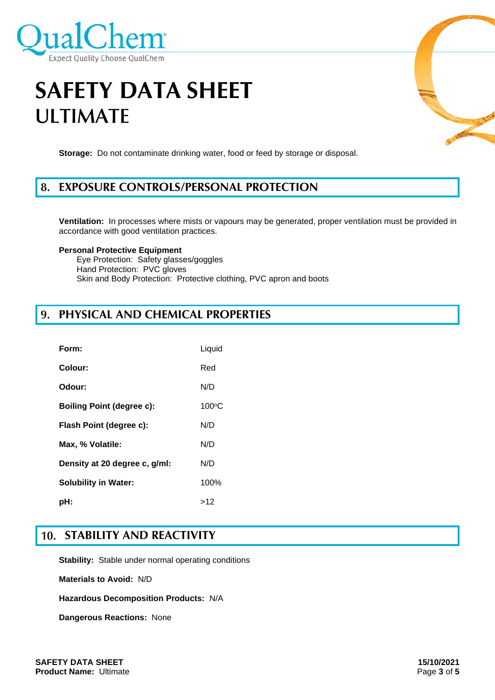

**Storage:** Do not contaminate drinking water, food or feed by storage or disposal.

#### 8. **EXPOSURE CONTROLS/PERSONAL PROTECTION**

**Ventilation:** In processes where mists or vapours may be generated, proper ventilation must be provided in accordance with good ventilation practices.

### **Personal Protective Equipment**

Eye Protection: Safety glasses/goggles Hand Protection: PVC gloves Skin and Body Protection: Protective clothing, PVC apron and boots

### **PHYSICAL AND CHEMICAL PROPERTIES**

| Form:                            | Liquid          |
|----------------------------------|-----------------|
| Colour:                          | Red             |
| Odour:                           | N/D             |
| <b>Boiling Point (degree c):</b> | $100^{\circ}$ C |
| Flash Point (degree c):          | N/D             |
| Max, % Volatile:                 | N/D             |
| Density at 20 degree c, g/ml:    | N/D             |
| <b>Solubility in Water:</b>      | 100%            |
| pH:                              | >12             |

### **STABILITY AND REACTIVITY**

**Stability:** Stable under normal operating conditions

**Materials to Avoid:** N/D

**Hazardous Decomposition Products:** N/A

**Dangerous Reactions:** None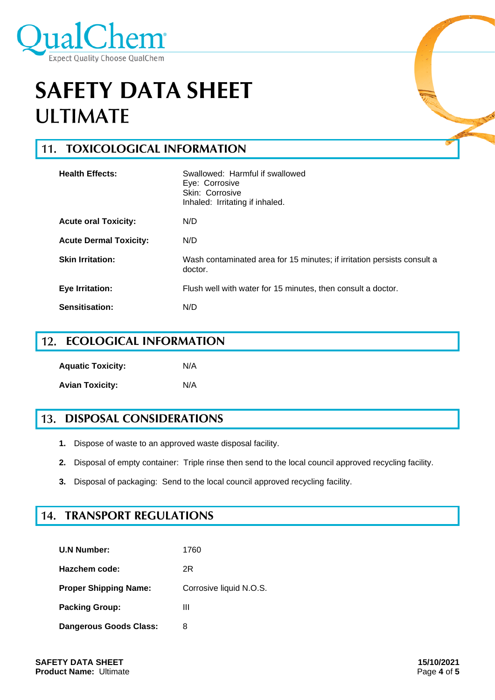

#### **TOXICOLOGICAL INFORMATION**  $11.$

| <b>Health Effects:</b>        | Swallowed: Harmful if swallowed<br>Eye: Corrosive<br>Skin: Corrosive<br>Inhaled: Irritating if inhaled. |
|-------------------------------|---------------------------------------------------------------------------------------------------------|
| <b>Acute oral Toxicity:</b>   | N/D                                                                                                     |
| <b>Acute Dermal Toxicity:</b> | N/D                                                                                                     |
| <b>Skin Irritation:</b>       | Wash contaminated area for 15 minutes; if irritation persists consult a<br>doctor.                      |
| <b>Eye Irritation:</b>        | Flush well with water for 15 minutes, then consult a doctor.                                            |
| Sensitisation:                | N/D                                                                                                     |

#### **ECOLOGICAL INFORMATION**  $12.$

| <b>Aquatic Toxicity:</b> | N/A |
|--------------------------|-----|
| <b>Avian Toxicity:</b>   | N/A |

#### **DISPOSAL CONSIDERATIONS**  $13.$

- **1.** Dispose of waste to an approved waste disposal facility.
- **2.** Disposal of empty container: Triple rinse then send to the local council approved recycling facility.
- **3.** Disposal of packaging: Send to the local council approved recycling facility.

## **TRANSPORT REGULATIONS**

| <b>U.N Number:</b>            | 1760                    |
|-------------------------------|-------------------------|
| Hazchem code:                 | 2R                      |
| <b>Proper Shipping Name:</b>  | Corrosive liquid N.O.S. |
| <b>Packing Group:</b>         | Ш                       |
| <b>Dangerous Goods Class:</b> | 8                       |